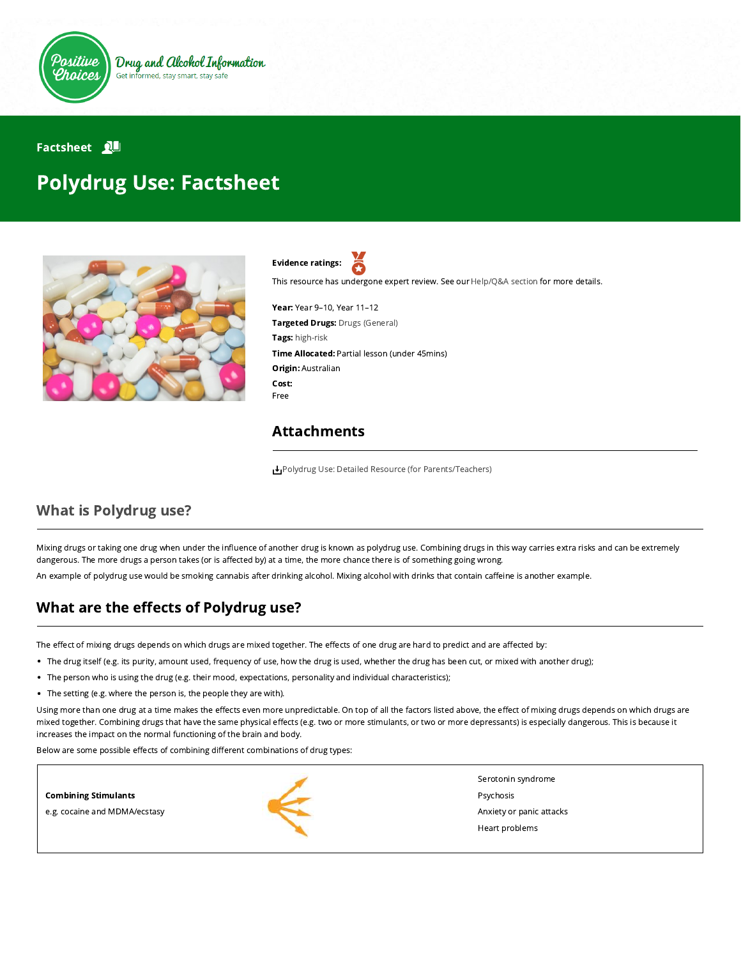

# **Factsheet** 2 Polydrug Use: Factsheet



Evidence ratings:

This resource has undergone expert review. See our [Help/Q&A section](https://positivechoices.org.au/help/questions-and-answers/) for more details.

Year: Year 9–10, Year 11–12 Targeted Drugs: Drugs (General) Tags: high-risk Time Allocated: Partial lesson (under 45mins) Origin: Australian Cost: Free

#### Attachments

[Polydrug Use: Detailed Resource \(for Parents/Teachers\)](https://positivechoices.org.au/documents/MYeiYGozx3/polydrug-use-detailed-resource-for-parentsteachers/)

# What is Polydrug use?

Mixing drugs or taking one drug when under the influence of another drug is known as polydrug use. Combining drugs in this way carries extra risks and can be extremely dangerous. The more drugs a person takes (or is affected by) at a time, the more chance there is of something going wrong.

An example of polydrug use would be smoking cannabis after drinking alcohol. Mixing alcohol with drinks that contain caffeine is another example.

## What are the effects of Polydrug use?

The effect of mixing drugs depends on which drugs are mixed together. The effects of one drug are hard to predict and are affected by:

- The drug itself (e.g. its purity, amount used, frequency of use, how the drug is used, whether the drug has been cut, or mixed with another drug);
- The person who is using the drug (e.g. their mood, expectations, personality and individual characteristics);
- The setting (e.g. where the person is, the people they are with).

Using more than one drug at a time makes the effects even more unpredictable. On top of all the factors listed above, the effect of mixing drugs depends on which drugs are mixed together. Combining drugs that have the same physical effects (e.g. two or more stimulants, or two or more depressants) is especially dangerous. This is because it increases the impact on the normal functioning of the brain and body.

Below are some possible effects of combining different combinations of drug types: